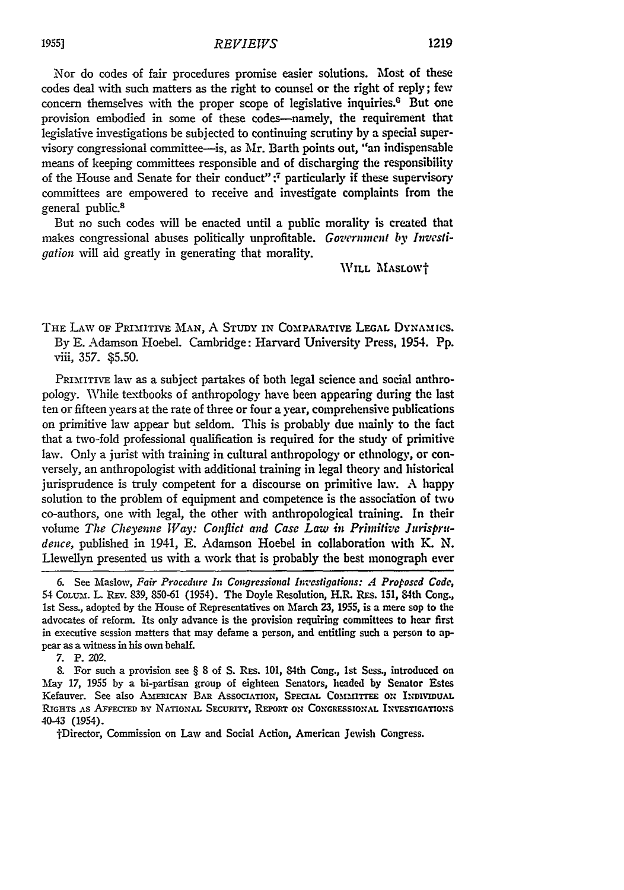Nor do codes of fair procedures promise easier solutions. Most of these codes deal with such matters as the right to counsel or the right of reply; **few** concern themselves with the proper scope of legislative inquiries.<sup>0</sup> But one provision embodied in some of these codes-namely, the requirement that legislative investigations be subjected to continuing scrutiny **by** a special supervisory congressional committee-is, as Mr. Barth points out, "an indispensable means of keeping committees responsible and of discharging the responsibility of the House and Senate for their conduct":<sup>7</sup> particularly if these supervisory committees are empowered to receive and investigate complaints from the general public.8

But no such codes will be enacted until a public morality is created that makes congressional abuses politically unprofitable. Government by Investi*gation* will aid greatly in generating that morality.

WILL MASLOWT

THE LAW **OF** PRIMITIVE **MAN,** A **STUDY** IN **COMPARATIVE LEGAL Dy NAMtics.** By **E.** Adamson Hoebel. Cambridge: Harvard University Press, 1954. Pp. viii, 357. **\$5.50.**

PRIMITIVE law as a subject partakes of both legal science and social anthropology. While textbooks of anthropology have been appearing during the last ten or fifteen years at the rate of three or four a year, comprehensive publications on primitive law appear but seldom. This is probably due mainly to tie fact that a two-fold professional qualification is required for the study of primitive law. Only a jurist with training in cultural anthropology or ethnology, or conversely, an anthropologist with additional training in legal theory and historical jurisprudence is truly competent for a discourse on primitive law. A happy solution to the problem of equipment and competence is the association of two co-authors, one with legal, the other with anthropological training. In their volume *The Cheyenne Way: Conflict and Casc Law in Primitive Jurisprudence,* published in 1941, **E.** Adamson Hoebel in collaboration with K. N. Llewellyn presented us with a work that is probably the best monograph ever

7. P. 202.

8. For such a provision see § 8 of S. Rzs. 101, 84th Cong., 1st Sess., introduced **on** May 17, **1955** by a hi-partisan group of eighteen Senators, headed **by** Senator Estes Kefauver. See also AMERICAN BAR ASSOCIATION, SPECIAL COMMITTEE ON INDIVIDUAL RIGHTS AS AFFECTED BY NATIONAL SECURITY, REPORT ON CONGRESSIONAL INVESTIGATIONS 40-43 (1954).

1fDirector, Commission on Law and Social Action, American Jewish Congress.

**<sup>6.</sup>** See Maslow, *Fair Procedure In Congressional Investigations: A Proposed Code,* 54 CoL m. L. REv. **839,** 850-61 (1954). The Doyle Resolution, H.R. Ras. 151, 84th Cong., 1st Sess., adopted **by** the House of Representatives on March **23, 1955,** is a mere sop to the advocates of reform. Its only advance is the provision requiring committees to hear first in executive session matters that **may** defame a person, and entitling such a person to appear as a witness in his own behalf.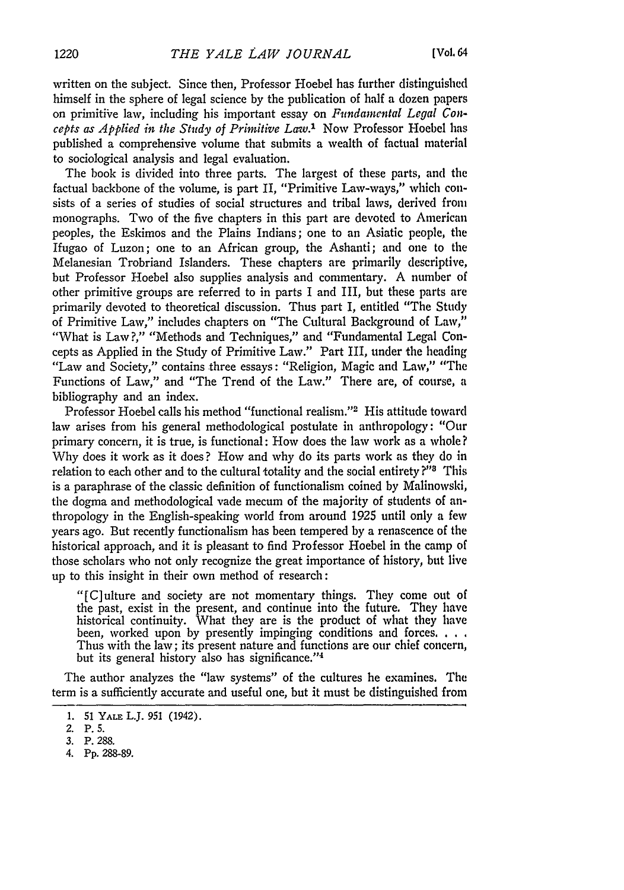written on the subject. Since then, Professor Hoebel has further distinguished himself in the sphere of legal science **by** the publication of half a dozen papers on primitiire law, including his important essay on *Flindamental Legal Concepts as Applied in the Study of Primitive* Law.' Now Professor Hoebel has published a comprehensive volume that submits a wealth of factual material to sociological analysis and legal evaluation.

The book is divided into three parts. The largest of these parts, and the factual backbone of the volume, is part II, "Primitive Law-ways," which consists of a series of studies of social structures and tribal laws, derived front monographs. Two of the five chapters in this part are devoted to American peoples, the Eskimos and the Plains Indians; one to an Asiatic people, the Ifugao of Luzon; one to an African group, the Ashanti; and one to the Melanesian Trobriand Islanders. These chapters are primarily descriptive, but Professor Hoebel also supplies analysis and commentary. A number of other primitive groups are referred to in parts I and III, but these parts are primarily devoted to theoretical discussion. Thus part I, entitled "The Study of Primitive Law," includes chapters on "The Cultural Background of Law," "What is Law ?," "Methods and Techniques," and "Fundamental Legal Concepts as Applied in the Study of Primitive Law." Part III, under the heading "Law and Society," contains three essays: "Religion, Magic and Law," "The Functions of Law," and "The Trend of the Law." There are, of course, a bibliography and an index.

Professor Hoebel calls his method "functional realism."<sup>2</sup> His attitude toward law arises from his general methodological postulate in anthropology: "Our primary concern, it is true, is functional: How does the law work as a whole? **Why** does it work as it does? How and why do its parts work as they do in relation to each other and to the cultural totality and the social entirety **?"** This is a paraphrase of the classic definition of functionalism coined **by** Malinowski, the dogma and methodological vade mecum of the majority of students of anthropology in the English-speaking world from around 1925 until only a few years ago. But recently functionalism has been tempered **by** a renascence of the historical approach, and it is pleasant to find Professor Hoebel in the camp of those scholars who not only recognize the great importance of history, but live up to this insight in their own method of research:

"[C]ulture and society are not momentary things. They come out of the past, exist in the present, and continue into the future. They have historical continuity. What they are is the product of what they have been, worked upon **by** presently impinging conditions and forces. **...** Thus with the law; its present nature and functions are our chief concern, but its general history also has significance."'4

The author analyzes the "law systems" of the cultures he examines. The term is a sufficiently accurate and useful one, but it must be distinguished from

**<sup>1.</sup>** 51 YALE L.J. 951 (1942).

<sup>2.</sup> **P.** 5.

**<sup>3.</sup>** P. 288.

<sup>4.</sup> **Pp.** 288-89.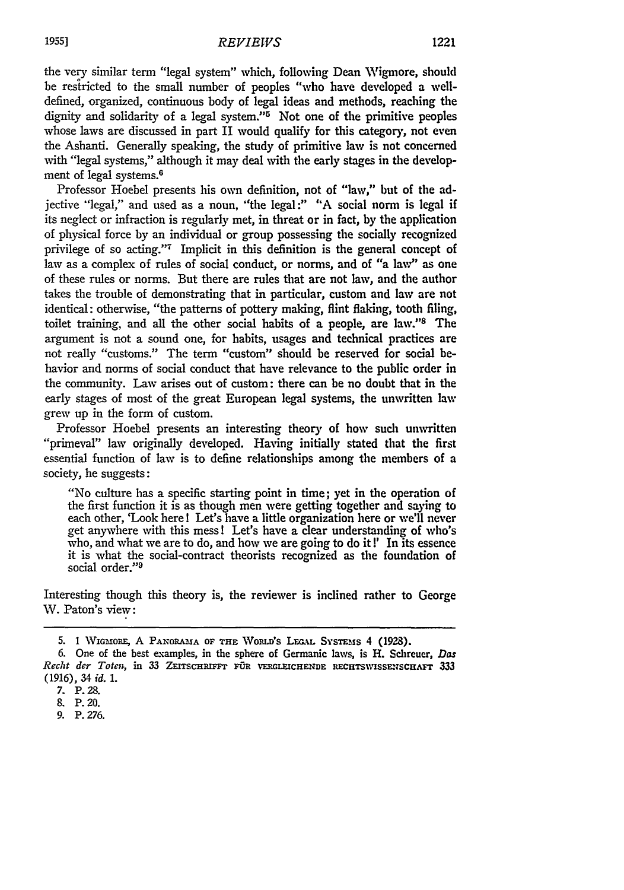the very similar term "legal system" which, following Dean Wigmore, should be restricted to the small number of peoples "who have developed a welldefined, organized, continuous body of legal ideas and methods, reaching the dignity and solidarity of a legal system."<sup>5</sup> Not one of the primitive peoples whose laws are discussed in part II would qualify for this category, not even the Ashanti. Generally speaking, the study of primitive law is not concerned with "legal systems," although it may deal with the early stages in the development of legal systems.<sup>6</sup>

Professor Hoebel presents his own definition, not of "law," but of the adjective "legal," and used as a noun, "the legal:" "A social norm is legal if its neglect or infraction is regularly met, in threat or in fact, by the application of physical force by an individual or group possessing the socially recognized privilege of so acting."7 Implicit in this definition is the general concept of law as a complex of rules of social conduct, or norms, and of "a law" as one of these rules or norms. But there are rules that are not law, and the author takes the trouble of demonstrating that in particular, custom and law are not identical: otherwise, "the patterns of pottery making, flint flaking, tooth filing, toilet training, and all the other social habits of a people, are law."<sup>8</sup> The argument is not a sound one, for habits, usages and technical practices are not really "customs." The term "custom" should be reserved for social behavior and norms of social conduct that have relevance to the public order in the community. Law arises out of custom: there can be no doubt that in the early stages of most of the great European legal systems, the unwritten law grew up in the form of custom.

Professor Hoebel presents an interesting theory of how such unwritten "primeval" law originally developed. Having initially stated that the first essential function of law is to define relationships among the members of a society, he suggests:

"No culture has a specific starting point in time; yet in the operation of the first function it is as though men were getting together and saying to each other, 'Look here! Let's have a little organization here or we'll never get anywhere with this mess! Let's have a clear understanding of who's who, and what we are to do, and how we are going to do it !' In its essence it is what the social-contract theorists recognized as the foundation of social order."<sup>9</sup>

Interesting though this theory is, the reviewer is inclined rather to George W. Paton's view:

9. P. 276.

<sup>5. 1</sup> WIGMORE, A PANORAMA OF THE WORLD'S LEGAL SYSTEMS 4 (1928).

**<sup>6.</sup>** One **of the** best examples, in **the** sphere of Germanic laws, is H. Schreuer, *Das* Recht der Toten, in 33 ZEITSCHRIFFT FÜR VERGLEICHENDE RECHTSWISSENSCHAFT 333 (1916), 34 *id. 1.*

<sup>7.</sup> P. **28.**

**<sup>8.</sup> P.** 20.